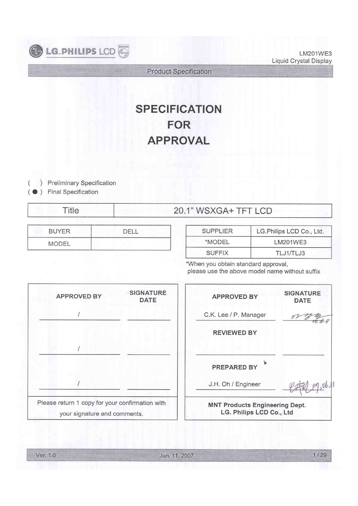

LM201WE3 Liquid Crystal Display

Product Specification

# SPECIFICATION FOR APPROVAL

) Preliminary Specification

) Final Specification ̻

(

| itle | 20.1" WSXGA+ TFT LCD |
|------|----------------------|
|------|----------------------|

| RIVER<br>____ | __ |
|---------------|----|
| MODEL         | -  |

| <b>SUPPLIER</b> | LG.Philips LCD Co., Ltd. |
|-----------------|--------------------------|
| *MODEL          | LM201WE3                 |
| <b>SUFFIX</b>   | TLJ1/TLJ3                |

\*When you obtain standard approval, please use the above model name without suffix

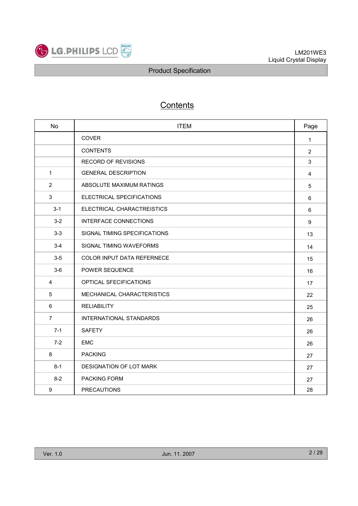

## **Contents**

| No               | <b>ITEM</b>                    | Page           |
|------------------|--------------------------------|----------------|
|                  | <b>COVER</b>                   | $\mathbf{1}$   |
|                  | <b>CONTENTS</b>                | $\overline{2}$ |
|                  | <b>RECORD OF REVISIONS</b>     | 3              |
| $\mathbf{1}$     | <b>GENERAL DESCRIPTION</b>     | $\overline{4}$ |
| $\overline{2}$   | ABSOLUTE MAXIMUM RATINGS       | $\sqrt{5}$     |
| 3                | ELECTRICAL SPECIFICATIONS      | 6              |
| $3 - 1$          | ELECTRICAL CHARACTREISTICS     | 6              |
| $3 - 2$          | <b>INTERFACE CONNECTIONS</b>   | 9              |
| $3-3$            | SIGNAL TIMING SPECIFICATIONS   | 13             |
| $3-4$            | SIGNAL TIMING WAVEFORMS        | 14             |
| $3-5$            | COLOR INPUT DATA REFERNECE     | 15             |
| $3-6$            | POWER SEQUENCE                 | 16             |
| $\overline{4}$   | OPTICAL SFECIFICATIONS         | 17             |
| 5                | MECHANICAL CHARACTERISTICS     | 22             |
| 6                | <b>RELIABILITY</b>             | 25             |
| $\overline{7}$   | <b>INTERNATIONAL STANDARDS</b> | 26             |
| $7 - 1$          | <b>SAFETY</b>                  | 26             |
| $7-2$            | <b>EMC</b>                     | 26             |
| 8                | <b>PACKING</b>                 | 27             |
| $8 - 1$          | DESIGNATION OF LOT MARK        | 27             |
| $8 - 2$          | PACKING FORM                   | 27             |
| $\boldsymbol{9}$ | <b>PRECAUTIONS</b>             | 28             |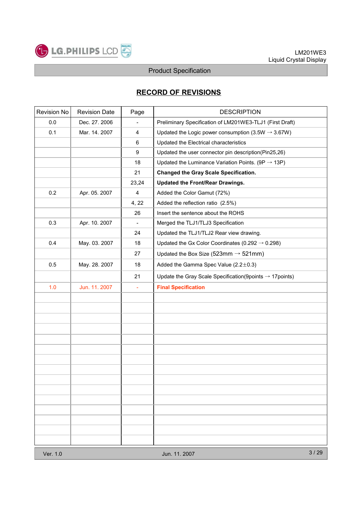

## RECORD OF REVISIONS

| Revision No | <b>Revision Date</b> | Page                     | <b>DESCRIPTION</b>                                                     |      |  |  |
|-------------|----------------------|--------------------------|------------------------------------------------------------------------|------|--|--|
| 0.0         | Dec. 27. 2006        | $\overline{a}$           | Preliminary Specification of LM201WE3-TLJ1 (First Draft)               |      |  |  |
| 0.1         | Mar. 14. 2007        | $\overline{\mathbf{4}}$  | Updated the Logic power consumption (3.5W $\rightarrow$ 3.67W)         |      |  |  |
|             |                      | 6                        | Updated the Electrical characteristics                                 |      |  |  |
|             |                      | $\boldsymbol{9}$         | Updated the user connector pin description(Pin25,26)                   |      |  |  |
|             |                      | 18                       | Updated the Luminance Variation Points. (9P $\rightarrow$ 13P)         |      |  |  |
|             |                      | 21                       | <b>Changed the Gray Scale Specification.</b>                           |      |  |  |
|             |                      | 23,24                    | Updated the Front/Rear Drawings.                                       |      |  |  |
| 0.2         | Apr. 05. 2007        | $\overline{\mathbf{4}}$  | Added the Color Gamut (72%)                                            |      |  |  |
|             |                      | 4, 22                    | Added the reflection ratio (2.5%)                                      |      |  |  |
|             |                      | 26                       | Insert the sentence about the ROHS                                     |      |  |  |
| 0.3         | Apr. 10. 2007        | $\overline{\phantom{a}}$ | Merged the TLJ1/TLJ3 Specification                                     |      |  |  |
|             |                      | 24                       | Updated the TLJ1/TLJ2 Rear view drawing.                               |      |  |  |
| 0.4         | May. 03. 2007        | 18                       | Updated the Gx Color Coordinates (0.292 $\rightarrow$ 0.298)           |      |  |  |
|             |                      | 27                       | Updated the Box Size (523mm $\rightarrow$ 521mm)                       |      |  |  |
| 0.5         | May. 28. 2007        | 18                       | Added the Gamma Spec Value (2.2±0.3)                                   |      |  |  |
|             |                      | 21                       | Update the Gray Scale Specification (9 points $\rightarrow$ 17 points) |      |  |  |
| 1.0         | Jun. 11. 2007        | $\blacksquare$           | <b>Final Specification</b>                                             |      |  |  |
|             |                      |                          |                                                                        |      |  |  |
|             |                      |                          |                                                                        |      |  |  |
|             |                      |                          |                                                                        |      |  |  |
|             |                      |                          |                                                                        |      |  |  |
|             |                      |                          |                                                                        |      |  |  |
|             |                      |                          |                                                                        |      |  |  |
|             |                      |                          |                                                                        |      |  |  |
|             |                      |                          |                                                                        |      |  |  |
|             |                      |                          |                                                                        |      |  |  |
|             |                      |                          |                                                                        |      |  |  |
|             |                      |                          |                                                                        |      |  |  |
|             |                      |                          |                                                                        |      |  |  |
|             |                      |                          |                                                                        |      |  |  |
|             |                      |                          |                                                                        |      |  |  |
|             |                      |                          |                                                                        |      |  |  |
| Ver. 1.0    |                      |                          | Jun. 11. 2007                                                          | 3/29 |  |  |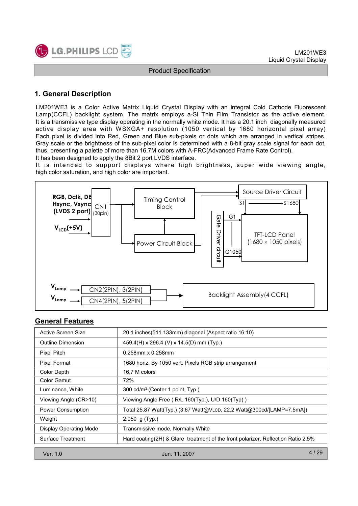

## 1. General Description

LM201WE3 is a Color Active Matrix Liquid Crystal Display with an integral Cold Cathode Fluorescent Lamp(CCFL) backlight system. The matrix employs a-Si Thin Film Transistor as the active element. It is a transmissive type display operating in the normally white mode. It has a 20.1 inch diagonally measured active display area with WSXGA+ resolution (1050 vertical by 1680 horizontal pixel array) Each pixel is divided into Red, Green and Blue sub-pixels or dots which are arranged in vertical stripes. Gray scale or the brightness of the sub-pixel color is determined with a 8-bit gray scale signal for each dot, thus, presenting a palette of more than 16,7M colors with A-FRC(Advanced Frame Rate Control).

It has been designed to apply the 8Bit 2 port LVDS interface.

It is intended to support displays where high brightness, super wide viewing angle, high color saturation, and high color are important.



## General Features

| Active Screen Size            | 20.1 inches (511.133mm) diagonal (Aspect ratio 16:10)                            |  |  |  |  |
|-------------------------------|----------------------------------------------------------------------------------|--|--|--|--|
| Outline Dimension             | 459.4(H) x 296.4 (V) x 14.5(D) mm (Typ.)                                         |  |  |  |  |
| Pixel Pitch                   | $0.258$ mm x $0.258$ mm                                                          |  |  |  |  |
| <b>Pixel Format</b>           | 1680 horiz. By 1050 vert. Pixels RGB strip arrangement                           |  |  |  |  |
| Color Depth                   | 16,7 M colors                                                                    |  |  |  |  |
| Color Gamut                   | 72%                                                                              |  |  |  |  |
| Luminance, White              | 300 cd/m <sup>2</sup> (Center 1 point, Typ.)                                     |  |  |  |  |
| Viewing Angle (CR>10)         | Viewing Angle Free (R/L 160(Typ.), U/D 160(Typ))                                 |  |  |  |  |
| Power Consumption             | Total 25.87 Watt(Typ.) (3.67 Watt@VLCD, 22.2 Watt@300cd/[LAMP=7.5mA])            |  |  |  |  |
| Weight                        | 2,050 g (Typ.)                                                                   |  |  |  |  |
| <b>Display Operating Mode</b> | Transmissive mode, Normally White                                                |  |  |  |  |
| Surface Treatment             | Hard coating(2H) & Glare treatment of the front polarizer, Reflection Ratio 2.5% |  |  |  |  |
| Ver. 1.0                      | 4 / 29<br>Jun. 11, 2007                                                          |  |  |  |  |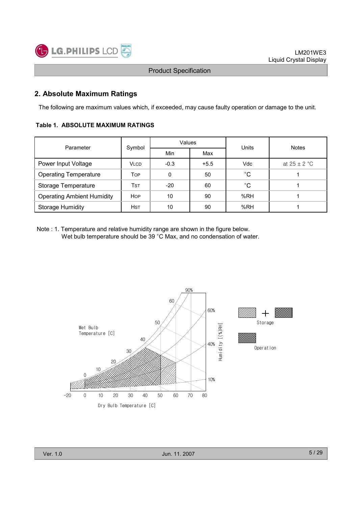

## 2. Absolute Maximum Ratings

The following are maximum values which, if exceeded, may cause faulty operation or damage to the unit.

#### Table 1. ABSOLUTE MAXIMUM RATINGS

| Parameter                         | Symbol      | Values |        | Units       | <b>Notes</b>     |  |
|-----------------------------------|-------------|--------|--------|-------------|------------------|--|
|                                   |             | Min    | Max    |             |                  |  |
| Power Input Voltage               | <b>VLCD</b> | $-0.3$ | $+5.5$ | Vdc         | at $25 \pm 2$ °C |  |
| <b>Operating Temperature</b>      | Top         | 0      | 50     | $^{\circ}C$ |                  |  |
| <b>Storage Temperature</b>        | <b>TST</b>  | $-20$  | 60     | $^{\circ}C$ |                  |  |
| <b>Operating Ambient Humidity</b> | <b>HOP</b>  | 10     | 90     | %RH         |                  |  |
| <b>Storage Humidity</b>           | <b>HST</b>  | 10     | 90     | %RH         |                  |  |

Note : 1. Temperature and relative humidity range are shown in the figure below. Wet bulb temperature should be 39 °C Max, and no condensation of water.



Ver. 1.0 Jun. 11. 2007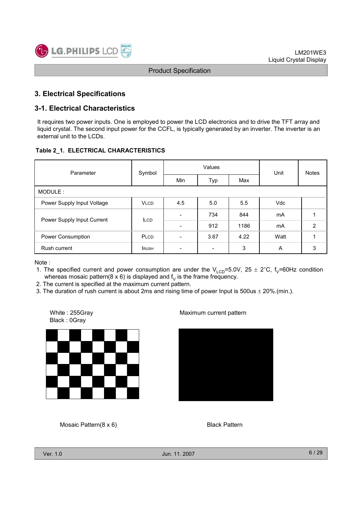

## 3. Electrical Specifications

#### 3-1. Electrical Characteristics

It requires two power inputs. One is employed to power the LCD electronics and to drive the TFT array and liquid crystal. The second input power for the CCFL, is typically generated by an inverter. The inverter is an external unit to the LCDs.

#### Table 2\_1. ELECTRICAL CHARACTERISTICS

| Parameter                  | Symbol      |                          | Values | Unit | <b>Notes</b> |                |  |
|----------------------------|-------------|--------------------------|--------|------|--------------|----------------|--|
|                            |             | Min                      | Typ    | Max  |              |                |  |
| MODULE:                    |             |                          |        |      |              |                |  |
| Power Supply Input Voltage | <b>VLCD</b> | 4.5                      | 5.0    | 5.5  | <b>Vdc</b>   |                |  |
| Power Supply Input Current | <b>ILCD</b> | $\overline{\phantom{0}}$ | 734    | 844  | mA           |                |  |
|                            |             |                          | 912    | 1186 | mA           | $\overline{2}$ |  |
| Power Consumption          | PLCD        | $\overline{\phantom{a}}$ | 3.67   | 4.22 | Watt         |                |  |
| Rush current               | <b>RUSH</b> | $\overline{\phantom{a}}$ |        | 3    | A            | 3              |  |

Note :

- 1. The specified current and power consumption are under the  $V_{LCD}$ =5.0V, 25  $\pm$  2°C, f<sub>V</sub>=60Hz condition whereas mosaic pattern(8 x 6) is displayed and  $f<sub>V</sub>$  is the frame frequency.
- 2. The current is specified at the maximum current pattern.
- 3. The duration of rush current is about 2ms and rising time of power Input is  $500us \pm 20\%$ . (min.).

White : 255Gray Black : 0Gray



#### Maximum current pattern



Mosaic Pattern(8 x 6)

Black Pattern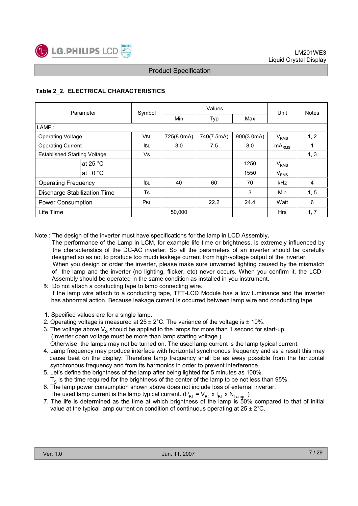

#### Table 2\_2. ELECTRICAL CHARACTERISTICS

| Parameter                           |                    | Symbol      |            | Values     | Unit       | <b>Notes</b>           |      |
|-------------------------------------|--------------------|-------------|------------|------------|------------|------------------------|------|
|                                     |                    |             | Min        | Typ        | Max        |                        |      |
| LAMP:                               |                    |             |            |            |            |                        |      |
| <b>Operating Voltage</b>            |                    | <b>VBL</b>  | 725(8.0mA) | 740(7.5mA) | 900(3.0mA) | <b>V<sub>RMS</sub></b> | 1, 2 |
| <b>Operating Current</b>            |                    | <b>IBL</b>  | 3.0        | 7.5        | 8.0        | $mA_{RMS}$             |      |
| <b>Established Starting Voltage</b> |                    | Vs          |            |            |            |                        | 1, 3 |
|                                     | at 25 $^{\circ}$ C |             |            |            | 1250       | $V_{RMS}$              |      |
|                                     | at $0^{\circ}$ C   |             |            |            | 1550       | $V_{RMS}$              |      |
| <b>Operating Frequency</b>          |                    | <b>f</b> BL | 40         | 60         | 70         | <b>kHz</b>             | 4    |
| Discharge Stabilization Time        |                    | Ts          |            |            | 3          | <b>Min</b>             | 1, 5 |
| <b>Power Consumption</b>            |                    | <b>PBL</b>  |            | 22.2       | 24.4       | Watt                   | 6    |
| Life Time                           |                    |             | 50,000     |            |            | <b>Hrs</b>             | 1, 7 |

Note : The design of the inverter must have specifications for the lamp in LCD Assembly.

- The performance of the Lamp in LCM, for example life time or brightness, is extremely influenced by the characteristics of the DC-AC inverter. So all the parameters of an inverter should be carefully designed so as not to produce too much leakage current from high-voltage output of the inverter. When you design or order the inverter, please make sure unwanted lighting caused by the mismatch of the lamp and the inverter (no lighting, flicker, etc) never occurs. When you confirm it, the LCD– Assembly should be operated in the same condition as installed in you instrument.
	- Do not attach a conducting tape to lamp connecting wire. If the lamp wire attach to a conducting tape, TFT-LCD Module has a low luminance and the inverter has abnormal action. Because leakage current is occurred between lamp wire and conducting tape.
	- 1. Specified values are for a single lamp.
	- 2. Operating voltage is measured at  $25 \pm 2^{\circ}$ C. The variance of the voltage is  $\pm$  10%.
	- 3. The voltage above  $V_S$  should be applied to the lamps for more than 1 second for start-up. (Inverter open voltage must be more than lamp starting voltage.)

Otherwise, the lamps may not be turned on. The used lamp current is the lamp typical current.

- 4. Lamp frequency may produce interface with horizontal synchronous frequency and as a result this may cause beat on the display. Therefore lamp frequency shall be as away possible from the horizontal synchronous frequency and from its harmonics in order to prevent interference.
- 5. Let's define the brightness of the lamp after being lighted for 5 minutes as 100%.  $T<sub>s</sub>$  is the time required for the brightness of the center of the lamp to be not less than 95%.
- 6. The lamp power consumption shown above does not include loss of external inverter.

The used lamp current is the lamp typical current. ( $P_{BL}$  =  $V_{BL}$  x  $I_{BL}$  x  $N_{Lamp}$ )

7. The life is determined as the time at which brightness of the lamp is 50% compared to that of initial value at the typical lamp current on condition of continuous operating at  $25 \pm 2^{\circ}$ C.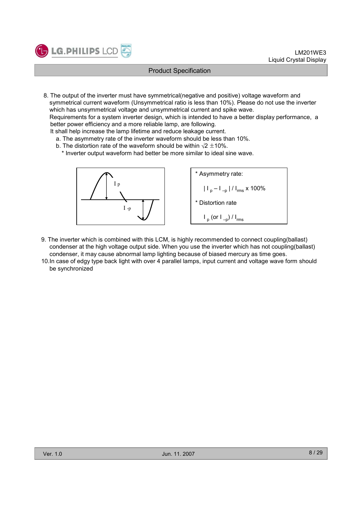

8. The output of the inverter must have symmetrical(negative and positive) voltage waveform and symmetrical current waveform (Unsymmetrical ratio is less than 10%). Please do not use the inverter which has unsymmetrical voltage and unsymmetrical current and spike wave.

Requirements for a system inverter design, which is intended to have a better display performance, a better power efficiency and a more reliable lamp, are following.

It shall help increase the lamp lifetime and reduce leakage current.

- a. The asymmetry rate of the inverter waveform should be less than 10%.
- b. The distortion rate of the waveform should be within  $\sqrt{2} \pm 10\%$ .

\* Inverter output waveform had better be more similar to ideal sine wave.



- 9. The inverter which is combined with this LCM, is highly recommended to connect coupling(ballast) condenser at the high voltage output side. When you use the inverter which has not coupling(ballast) condenser, it may cause abnormal lamp lighting because of biased mercury as time goes.
- 10.In case of edgy type back light with over 4 parallel lamps, input current and voltage wave form should be synchronized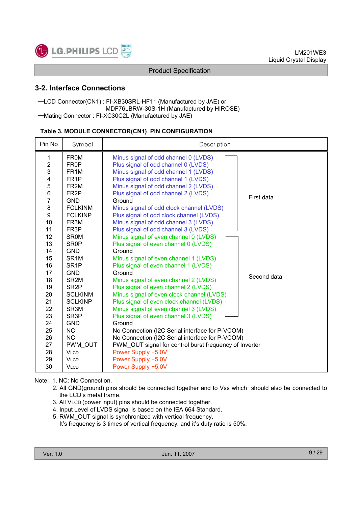

## 3-2. Interface Connections

#### ᆛLCD Connector(CN1) : FI-XB30SRL-HF11 (Manufactured by JAE) or MDF76LBRW-30S-1H (Manufactured by HIROSE)  $-Mating$  Connector: FI-XC30C2L (Manufactured by JAE)

#### Table 3. MODULE CONNECTOR(CN1) PIN CONFIGURATION

| Pin No           | Symbol              | Description                                                                   |             |
|------------------|---------------------|-------------------------------------------------------------------------------|-------------|
| 1                | <b>FROM</b>         | Minus signal of odd channel 0 (LVDS)                                          |             |
| $\boldsymbol{2}$ | FR0P                | Plus signal of odd channel 0 (LVDS)                                           |             |
| 3                | FR <sub>1</sub> M   | Minus signal of odd channel 1 (LVDS)                                          |             |
| $\frac{4}{5}$    | FR <sub>1</sub> P   | Plus signal of odd channel 1 (LVDS)                                           |             |
|                  | FR <sub>2</sub> M   | Minus signal of odd channel 2 (LVDS)                                          |             |
| $\,6$            | FR <sub>2</sub> P   | Plus signal of odd channel 2 (LVDS)                                           | First data  |
| $\overline{7}$   | <b>GND</b>          | Ground                                                                        |             |
| 8                | <b>FCLKINM</b>      | Minus signal of odd clock channel (LVDS)                                      |             |
| 9                | <b>FCLKINP</b>      | Plus signal of odd clock channel (LVDS)                                       |             |
| 10               | FR <sub>3</sub> M   | Minus signal of odd channel 3 (LVDS)                                          |             |
| 11<br>12         | FR3P<br><b>SR0M</b> | Plus signal of odd channel 3 (LVDS)                                           |             |
| 13               | SR <sub>0</sub> P   | Minus signal of even channel 0 (LVDS)<br>Plus signal of even channel 0 (LVDS) |             |
| 14               | <b>GND</b>          | Ground                                                                        |             |
| 15               | SR <sub>1</sub> M   | Minus signal of even channel 1 (LVDS)                                         |             |
| 16               | SR <sub>1</sub> P   | Plus signal of even channel 1 (LVDS)                                          |             |
| 17               | <b>GND</b>          | Ground                                                                        |             |
| 18               | SR <sub>2M</sub>    | Minus signal of even channel 2 (LVDS)                                         | Second data |
| 19               | SR <sub>2</sub> P   | Plus signal of even channel 2 (LVDS)                                          |             |
| 20               | <b>SCLKINM</b>      | Minus signal of even clock channel (LVDS)                                     |             |
| 21               | <b>SCLKINP</b>      | Plus signal of even clock channel (LVDS)                                      |             |
| 22               | SR <sub>3</sub> M   | Minus signal of even channel 3 (LVDS)                                         |             |
| 23               | SR <sub>3</sub> P   | Plus signal of even channel 3 (LVDS)                                          |             |
| 24               | <b>GND</b>          | Ground                                                                        |             |
| 25               | <b>NC</b>           | No Connection (I2C Serial interface for P-VCOM)                               |             |
| 26               | <b>NC</b>           | No Connection (I2C Serial interface for P-VCOM)                               |             |
| 27               | PWM OUT             | PWM OUT signal for control burst frequency of Inverter                        |             |
| 28               | <b>VLCD</b>         | Power Supply +5.0V                                                            |             |
| 29               | <b>VLCD</b>         | Power Supply +5.0V                                                            |             |
| 30               | <b>VLCD</b>         | Power Supply +5.0V                                                            |             |

Note: 1. NC: No Connection.

- 2. All GND(ground) pins should be connected together and to Vss which should also be connected to the LCD's metal frame.
- 3. All VLCD (power input) pins should be connected together.
- 4. Input Level of LVDS signal is based on the IEA 664 Standard.
- 5. RWM\_OUT signal is synchronized with vertical frequency.

It's frequency is 3 times of vertical frequency, and it's duty ratio is 50%.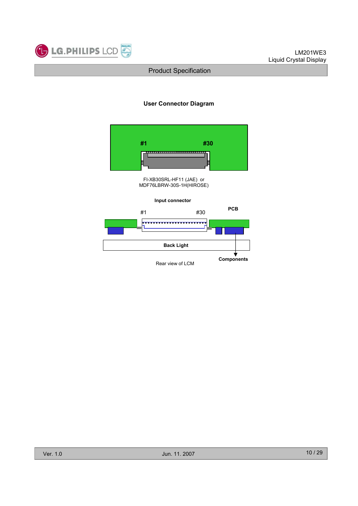

#### User Connector Diagram

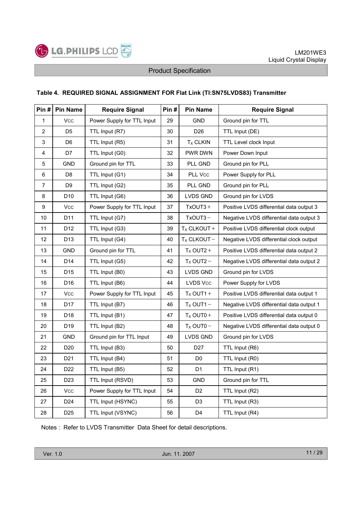

#### Table 4. REQUIRED SIGNAL ASSIGNMENT FOR Flat Link (TI:SN75LVDS83) Transmitter

| Pin #          | <b>Pin Name</b> | <b>Require Signal</b>      | Pin# | <b>Pin Name</b> | <b>Require Signal</b>                    |
|----------------|-----------------|----------------------------|------|-----------------|------------------------------------------|
| $\mathbf{1}$   | Vcc             | Power Supply for TTL Input | 29   | <b>GND</b>      | Ground pin for TTL                       |
| $\overline{2}$ | D <sub>5</sub>  | TTL Input (R7)             | 30   | D <sub>26</sub> | TTL Input (DE)                           |
| 3              | D <sub>6</sub>  | TTL Input (R5)             | 31   | $TX$ CLKIN      | TTL Level clock Input                    |
| 4              | D7              | TTL Input (G0)             | 32   | PWR DWN         | Power Down Input                         |
| $\,$ 5 $\,$    | <b>GND</b>      | Ground pin for TTL         | 33   | PLL GND         | Ground pin for PLL                       |
| 6              | D <sub>8</sub>  | TTL Input (G1)             | 34   | PLL Vcc         | Power Supply for PLL                     |
| $\overline{7}$ | D <sub>9</sub>  | TTL Input (G2)             | 35   | PLL GND         | Ground pin for PLL                       |
| 8              | D <sub>10</sub> | TTL Input (G6)             | 36   | <b>LVDS GND</b> | Ground pin for LVDS                      |
| 9              | <b>Vcc</b>      | Power Supply for TTL Input | 37   | $TxOUT3 +$      | Positive LVDS differential data output 3 |
| 10             | D11             | TTL Input (G7)             | 38   | $TxOUT3 -$      | Negative LVDS differential data output 3 |
| 11             | D12             | TTL Input (G3)             | 39   | $T_X$ CLKOUT +  | Positive LVDS differential clock output  |
| 12             | D13             | TTL Input (G4)             | 40   | $T_X$ CLKOUT-   | Negative LVDS differential clock output  |
| 13             | <b>GND</b>      | Ground pin for TTL         | 41   | $T_X$ OUT2+     | Positive LVDS differential data output 2 |
| 14             | D14             | TTL Input (G5)             | 42   | $T_X$ OUT2 -    | Negative LVDS differential data output 2 |
| 15             | D <sub>15</sub> | TTL Input (B0)             | 43   | <b>LVDS GND</b> | Ground pin for LVDS                      |
| 16             | D16             | TTL Input (B6)             | 44   | LVDS Vcc        | Power Supply for LVDS                    |
| 17             | <b>Vcc</b>      | Power Supply for TTL Input | 45   | $T_X$ OUT1+     | Positive LVDS differential data output 1 |
| 18             | D17             | TTL Input (B7)             | 46   | $T_X$ OUT1 -    | Negative LVDS differential data output 1 |
| 19             | D18             | TTL Input (B1)             | 47   | $T_X$ OUT0+     | Positive LVDS differential data output 0 |
| 20             | D <sub>19</sub> | TTL Input (B2)             | 48   | $T_X$ OUT0 -    | Negative LVDS differential data output 0 |
| 21             | <b>GND</b>      | Ground pin for TTL Input   | 49   | <b>LVDS GND</b> | Ground pin for LVDS                      |
| 22             | D <sub>20</sub> | TTL Input (B3)             | 50   | D <sub>27</sub> | TTL Input (R6)                           |
| 23             | D <sub>21</sub> | TTL Input (B4)             | 51   | D <sub>0</sub>  | TTL Input (R0)                           |
| 24             | D <sub>22</sub> | TTL Input (B5)             | 52   | D <sub>1</sub>  | TTL Input (R1)                           |
| 25             | D <sub>23</sub> | TTL Input (RSVD)           | 53   | <b>GND</b>      | Ground pin for TTL                       |
| 26             | Vcc             | Power Supply for TTL Input | 54   | D <sub>2</sub>  | TTL Input (R2)                           |
| 27             | D <sub>24</sub> | TTL Input (HSYNC)          | 55   | D <sub>3</sub>  | TTL Input (R3)                           |
| 28             | D <sub>25</sub> | TTL Input (VSYNC)          | 56   | D4              | TTL Input (R4)                           |

Notes : Refer to LVDS Transmitter Data Sheet for detail descriptions.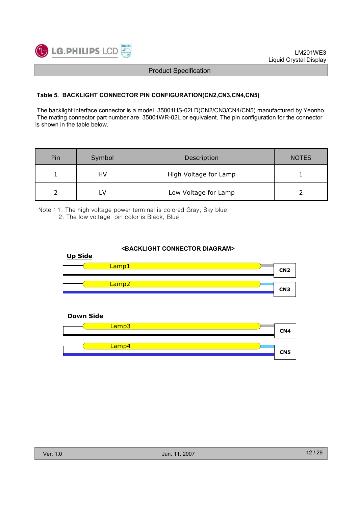

#### Table 5. BACKLIGHT CONNECTOR PIN CONFIGURATION(CN2,CN3,CN4,CN5)

The backlight interface connector is a model 35001HS-02LD(CN2/CN3/CN4/CN5) manufactured by Yeonho. The mating connector part number are 35001WR-02L or equivalent. The pin configuration for the connector is shown in the table below.

| Pin | Symbol | Description           | <b>NOTES</b> |
|-----|--------|-----------------------|--------------|
|     | HV     | High Voltage for Lamp |              |
|     |        | Low Voltage for Lamp  |              |

Νote : 1. The high voltage power terminal is colored Gray, Sky blue. 2. The low voltage pin color is Black, Blue.

#### <BACKLIGHT CONNECTOR DIAGRAM>



#### Down Side

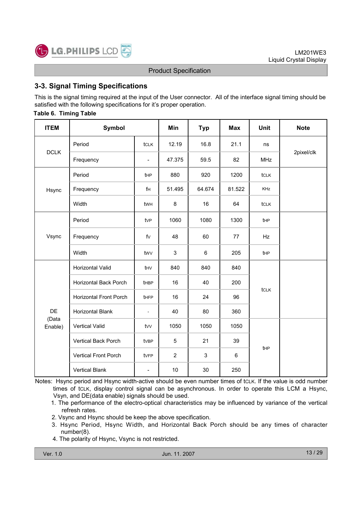

## 3-3. Signal Timing Specifications

This is the signal timing required at the input of the User connector. All of the interface signal timing should be satisfied with the following specifications for it's proper operation.

#### Table 6. Timing Table

| <b>ITEM</b>      | <b>Symbol</b>                 |                          | Min            | <b>Typ</b> | <b>Max</b> | <b>Unit</b> | <b>Note</b> |
|------------------|-------------------------------|--------------------------|----------------|------------|------------|-------------|-------------|
|                  | Period                        | tclk                     | 12.19          | 16.8       | 21.1       | ns          |             |
| <b>DCLK</b>      | Frequency                     | $\overline{\phantom{0}}$ | 47.375         | 59.5       | 82         | <b>MHz</b>  | 2pixel/clk  |
|                  | Period                        | t <sub>HP</sub>          | 880            | 920        | 1200       | tclk        |             |
| Hsync            | Frequency                     | fH                       | 51.495         | 64.674     | 81.522     | <b>KHz</b>  |             |
|                  | Width                         | twh                      | 8              | 16         | 64         | tclk        |             |
|                  | Period                        | tv <sub>P</sub>          | 1060           | 1080       | 1300       | tHP         |             |
| Vsync            | Frequency                     | fV                       | 48             | 60         | 77         | Hz          |             |
|                  | Width                         | twy                      | 3              | 6          | 205<br>tHP |             |             |
|                  | Horizontal Valid              | thv                      | 840            | 840        | 840        |             |             |
|                  | Horizontal Back Porch         | <b>t</b> HBP             | 16             | 40         | 200        |             |             |
|                  | <b>Horizontal Front Porch</b> | tHFP                     | 16             | 24         | 96         | tclk        |             |
| <b>DE</b>        | <b>Horizontal Blank</b>       | $\overline{\phantom{a}}$ | 40             | 80         | 360        |             |             |
| (Data<br>Enable) | <b>Vertical Valid</b>         | tvv                      | 1050           | 1050       | 1050       |             |             |
|                  | Vertical Back Porch           | tvBP                     | 5              | 21         | 39         |             |             |
|                  | Vertical Front Porch          | tvFP                     | $\overline{2}$ | 3          | 6          | tHP         |             |
|                  | <b>Vertical Blank</b>         | $\overline{\phantom{0}}$ | 10             | 30         | 250        |             |             |

Notes: Hsync period and Hsync width-active should be even number times of tCLK. If the value is odd number times of tCLK, display control signal can be asynchronous. In order to operate this LCM a Hsync, Vsyn, and DE(data enable) signals should be used.

- 1. The performance of the electro-optical characteristics may be influenced by variance of the vertical refresh rates.
- 2. Vsync and Hsync should be keep the above specification.
- 3. Hsync Period, Hsync Width, and Horizontal Back Porch should be any times of character number(8).
- 4. The polarity of Hsync, Vsync is not restricted.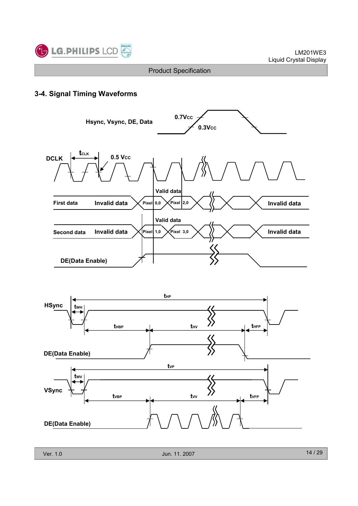

## 3-4. Signal Timing Waveforms

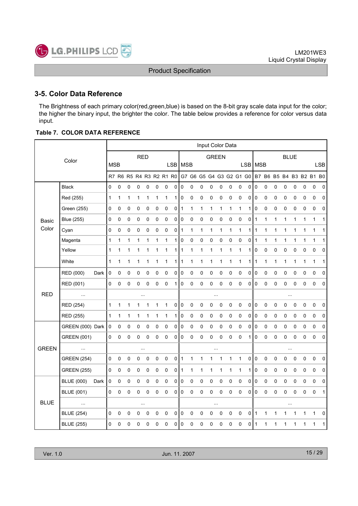

## 3-5. Color Data Reference

The Brightness of each primary color(red,green,blue) is based on the 8-bit gray scale data input for the color; the higher the binary input, the brighter the color. The table below provides a reference for color versus data input.

#### Table 7. COLOR DATA REFERENCE

|              |                    |      |              |   |             |              |           |              |                         |           |             |              |             | Input Color Data |             |              |                         |             |                |              |             |             |              |              |                         |              |
|--------------|--------------------|------|--------------|---|-------------|--------------|-----------|--------------|-------------------------|-----------|-------------|--------------|-------------|------------------|-------------|--------------|-------------------------|-------------|----------------|--------------|-------------|-------------|--------------|--------------|-------------------------|--------------|
|              | Color              |      |              |   |             | <b>RED</b>   |           |              |                         |           |             |              |             | <b>GREEN</b>     |             |              |                         |             |                |              |             | <b>BLUE</b> |              |              |                         |              |
|              |                    |      | <b>MSB</b>   |   |             |              |           |              |                         | LSB       | <b>MSB</b>  |              |             |                  |             |              |                         | <b>LSB</b>  | <b>MSB</b>     |              |             |             |              |              |                         | <b>LSB</b>   |
|              |                    |      |              |   |             |              |           |              | R7 R6 R5 R4 R3 R2 R1 R0 |           |             |              |             |                  |             |              | G7 G6 G5 G4 G3 G2 G1 G0 |             |                |              |             |             |              |              | B7 B6 B5 B4 B3 B2 B1 B0 |              |
|              | <b>Black</b>       |      | 0            | 0 | $\mathbf 0$ | 0            | 0         | $\pmb{0}$    | 0                       | 0         | 0           | $\pmb{0}$    | $\mathbf 0$ | 0                | $\pmb{0}$   | 0            | 0                       | 0           | $\pmb{0}$      | $\mathbf 0$  | $\mathbf 0$ | 0           | 0            | 0            | $\pmb{0}$               | $\pmb{0}$    |
|              | Red (255)          |      | $\mathbf 1$  | 1 | 1           | 1            | 1         | $\mathbf{1}$ | 1                       | 1         | 0           | $\pmb{0}$    | $\pmb{0}$   | $\pmb{0}$        | $\mathsf 0$ | 0            | $\mathbf 0$             | 0           | $\pmb{0}$      | $\pmb{0}$    | $\pmb{0}$   | $\pmb{0}$   | $\mathsf 0$  | $\mathsf 0$  | 0                       | 0            |
|              | Green (255)        |      | 0            | 0 | $\pmb{0}$   | $\mathbf 0$  | 0         | $\pmb{0}$    | $\pmb{0}$               | $\circ$   | 1           | 1            | 1           | 1                | 1           | 1            | $\mathbf{1}$            | 1           | $\pmb{0}$      | $\pmb{0}$    | $\mathbf 0$ | 0           | 0            | 0            | $\mathbf 0$             | 0            |
| <b>Basic</b> | <b>Blue (255)</b>  |      | 0            | 0 | $\mathbf 0$ | $\mathbf 0$  | 0         | $\pmb{0}$    | $\pmb{0}$               | 0         | 0           | 0            | 0           | 0                | $\mathbf 0$ | 0            | $\pmb{0}$               | 0           | $\mathbf{1}$   | $\mathbf{1}$ | 1           | 1           | $\mathbf{1}$ | 1            | $\mathbf{1}$            | 1            |
| Color        | Cyan               |      | 0            | 0 | 0           | 0            | 0         | $\pmb{0}$    | 0                       | 0         | 1           | 1            | 1           | 1                | 1           | 1            | $\mathbf{1}$            | 1           | 1              | 1            | 1           | 1           | 1            | 1            | 1                       | 1            |
|              | Magenta            |      | $\mathbf 1$  | 1 | 1           | 1            | 1         | 1            | 1                       | 1         | 0           | 0            | 0           | 0                | 0           | 0            | 0                       | 0           | $\mathbf{1}$   | $\mathbf{1}$ | 1           | 1           | 1            | $\mathbf{1}$ | $\mathbf{1}$            | $\mathbf{1}$ |
|              | Yellow             |      | $\mathbf{1}$ | 1 | 1           | 1            | 1         | 1            | 1                       | 1         | 1           | $\mathbf{1}$ | 1           | 1                | 1           | 1            | $\mathbf 1$             | 1           | $\pmb{0}$      | $\pmb{0}$    | $\pmb{0}$   | $\pmb{0}$   | $\pmb{0}$    | 0            | $\pmb{0}$               | 0            |
|              | White              |      | 1            | 1 | 1           | 1            | 1         | 1            | 1                       | 1         | 1           | 1            | 1           | 1                | 1           | 1            | $\mathbf{1}$            | 1           | 1              | 1            | 1           | 1           | 1            | 1            | 1                       | 1            |
|              | RED (000)          | Dark | 0            | 0 | $\pmb{0}$   | $\pmb{0}$    | 0         | $\pmb{0}$    | $\pmb{0}$               | 0         | $\pmb{0}$   | $\pmb{0}$    | 0           | 0                | $\pmb{0}$   | 0            | 0                       | 0           | $\pmb{0}$      | $\pmb{0}$    | $\pmb{0}$   | 0           | 0            | 0            | $\pmb{0}$               | 0            |
|              | RED (001)          |      | $\pmb{0}$    | 0 | 0           | 0            | 0         | $\pmb{0}$    | 0                       | 1         | 0           | 0            | 0           | 0                | $\mathbf 0$ | 0            | $\pmb{0}$               | 0           | $\pmb{0}$      | $\pmb{0}$    | $\pmb{0}$   | 0           | $\pmb{0}$    | 0            | $\mathbf 0$             | 0            |
| <b>RED</b>   | $\ddotsc$          |      |              |   |             |              |           |              |                         |           |             |              |             | $\ldots$         |             |              |                         |             |                |              |             | $\ddotsc$   |              |              |                         |              |
|              | RED (254)          |      | $\mathbf{1}$ | 1 | 1           | $\mathbf{1}$ | 1         | $\mathbf{1}$ | $\mathbf{1}$            | $\pmb{0}$ | $\pmb{0}$   | $\pmb{0}$    | $\pmb{0}$   | 0                | $\mathbf 0$ | 0            | $\pmb{0}$               | 0           | $\overline{0}$ | $\pmb{0}$    | $\mathbf 0$ | 0           | 0            | 0            | $\mathbf 0$             | $\mathbf 0$  |
|              | RED (255)          |      | $\mathbf{1}$ | 1 | 1           | $\mathbf{1}$ | 1         | 1            | 1                       | 1         | 0           | $\pmb{0}$    | $\pmb{0}$   | 0                | $\pmb{0}$   | 0            | $\mathbf 0$             | 0           | $\pmb{0}$      | $\pmb{0}$    | $\pmb{0}$   | 0           | 0            | 0            | $\pmb{0}$               | 0            |
|              | GREEN (000) Dark   |      | $\pmb{0}$    | 0 | 0           | 0            | 0         | $\pmb{0}$    | $\mathbf 0$             | 0         | 0           | $\pmb{0}$    | 0           | $\pmb{0}$        | 0           | 0            | $\pmb{0}$               | 0           | $\pmb{0}$      | 0            | 0           | $\pmb{0}$   | 0            | 0            | $\pmb{0}$               | 0            |
|              | <b>GREEN (001)</b> |      | 0            | 0 | 0           | 0            | 0         | 0            | 0                       | 0         | 0           | 0            | 0           | 0                | 0           | 0            | $\mathbf 0$             | 1           | 0              | $\pmb{0}$    | $\mathbf 0$ | 0           | 0            | 0            | 0                       | 0            |
| <b>GREEN</b> | $\ddotsc$          |      |              |   |             | $\ldots$     |           |              |                         |           |             |              |             | $\ldots$         |             |              |                         |             |                |              |             | $\cdots$    |              |              |                         |              |
|              | <b>GREEN (254)</b> |      | 0            | 0 | $\pmb{0}$   | $\mathsf 0$  | $\pmb{0}$ | $\pmb{0}$    | $\pmb{0}$               | 0         | 1           | $\mathbf{1}$ | 1           | 1                | 1           | $\mathbf{1}$ | $\mathbf{1}$            | $\pmb{0}$   | $\mathbf 0$    | $\mathbf 0$  | $\mathbf 0$ | 0           | $\pmb{0}$    | 0            | $\pmb{0}$               | $\pmb{0}$    |
|              | <b>GREEN (255)</b> |      | 0            | 0 | 0           | 0            | $\pmb{0}$ | $\pmb{0}$    | 0                       | 0         | 1           | 1            | 1           | 1                | 1           | 1            | $\mathbf{1}$            | 1           | 0              | $\pmb{0}$    | $\pmb{0}$   | 0           | 0            | 0            | $\pmb{0}$               | 0            |
|              | <b>BLUE (000)</b>  | Dark | $\mathbf 0$  | 0 | 0           | $\mathbf 0$  | 0         | 0            | $\mathbf 0$             | 0         | $\mathbf 0$ | 0            | 0           | 0                | $\mathbf 0$ | 0            | $\mathbf 0$             | 0           | $\pmb{0}$      | $\pmb{0}$    | $\mathbf 0$ | 0           | 0            | 0            | $\mathsf 0$             | 0            |
|              | <b>BLUE (001)</b>  |      | $\mathsf 0$  | 0 | $\pmb{0}$   | $\mathbf 0$  | 0         | $\pmb{0}$    | $\mathbf 0$             | 0         | $\mathbf 0$ | $\mathbf 0$  | $\pmb{0}$   | 0                | $\mathbf 0$ | 0            | $\pmb{0}$               | $\mathbf 0$ | $\mathsf 0$    | $\pmb{0}$    | $\mathbf 0$ | $\mathsf 0$ | $\mathsf 0$  | 0            | 0                       | $\mathbf{1}$ |
| <b>BLUE</b>  |                    |      |              |   |             |              |           |              |                         |           |             |              |             | $\ldots$         |             |              |                         |             |                |              |             | $\ldots$    |              |              |                         |              |
|              | <b>BLUE (254)</b>  |      | 0            | 0 | $\mathbf 0$ | 0            | 0         | 0            | $\mathbf 0$             | 0         | $\mathbf 0$ | 0            | $\mathbf 0$ | 0                | $\mathbf 0$ | 0            | $\pmb{0}$               | 0           | $\mathbf{1}$   | $\mathbf{1}$ | 1           | 1           | 1            | 1            | 1                       | 0            |
|              | <b>BLUE (255)</b>  |      | 0            | 0 | 0           | 0            | 0         | 0            | 0                       | 0         | 0           | 0            | 0           | 0                | 0           | 0            | 0                       | 0           | 1              | 1            | 1           | 1           | 1            | 1            | 1                       | 1            |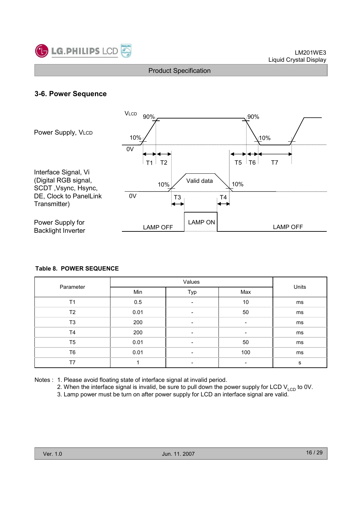

## 3-6. Power Sequence



#### Table 8. POWER SEQUENCE

|                |      | Units                    |                          |    |
|----------------|------|--------------------------|--------------------------|----|
| Parameter      | Min  | Typ                      | Max                      |    |
| T <sub>1</sub> | 0.5  | $\overline{\phantom{a}}$ | 10                       | ms |
| T <sub>2</sub> | 0.01 | $\overline{\phantom{a}}$ | 50                       | ms |
| T <sub>3</sub> | 200  | $\overline{\phantom{a}}$ | $\overline{\phantom{a}}$ | ms |
| T4             | 200  | $\overline{\phantom{a}}$ | $\overline{\phantom{a}}$ | ms |
| T <sub>5</sub> | 0.01 | $\overline{\phantom{a}}$ | 50                       | ms |
| T <sub>6</sub> | 0.01 | -                        | 100                      | ms |
| T7             |      | $\overline{\phantom{0}}$ |                          | s  |

Notes : 1. Please avoid floating state of interface signal at invalid period.

2. When the interface signal is invalid, be sure to pull down the power supply for LCD  $V_{\text{LCD}}$  to 0V.

3. Lamp power must be turn on after power supply for LCD an interface signal are valid.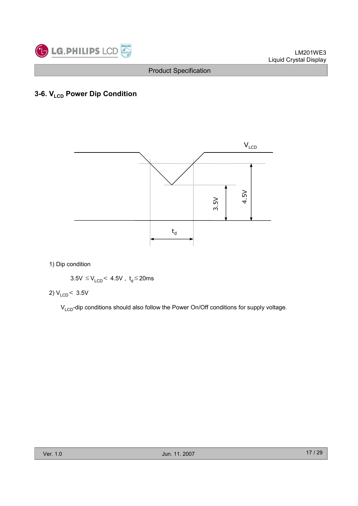

## 3-6. V<sub>LCD</sub> Power Dip Condition



1) Dip condition

 $3.5V \leq V_{\text{LCD}}$  4.5V,  $t_d \leq 20$ ms

$$
2) V_{LCD} < 3.5 V
$$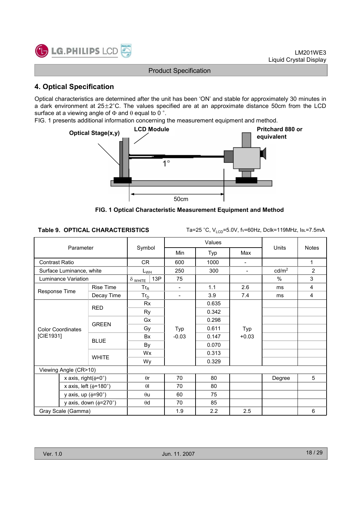

## 4. Optical Specification

Optical characteristics are determined after the unit has been 'ON' and stable for approximately 30 minutes in a dark environment at  $25\pm2^{\circ}$ C. The values specified are at an approximate distance 50cm from the LCD surface at a viewing angle of  $\Phi$  and  $\theta$  equal to 0 °.

FIG. 1 presents additional information concerning the measurement equipment and method.



FIG. 1 Optical Characteristic Measurement Equipment and Method

Table 9. OPTICAL CHARACTERISTICS Ta=25 °C,  $V_{LCD}$ =5.0V, fv=60Hz, Dclk=119MHz, IBL=7.5mA

|                | Parameter                         |                                 |                       |                                  | Values |                          |                                                             |                |
|----------------|-----------------------------------|---------------------------------|-----------------------|----------------------------------|--------|--------------------------|-------------------------------------------------------------|----------------|
|                |                                   |                                 | Symbol                | Min                              | Typ    | Max                      |                                                             |                |
| Contrast Ratio |                                   |                                 | CR                    | 600                              | 1000   | Ξ.                       |                                                             | 1              |
|                | Surface Luminance, white          |                                 | $L_{WH}$              | 250                              | 300    | $\overline{\phantom{a}}$ | cd/m <sup>2</sup>                                           | $\overline{2}$ |
|                | Luminance Variation               |                                 | 13P<br>$\delta$ white | 75                               |        |                          | $\%$                                                        | 3              |
|                | <b>Rise Time</b><br>Response Time |                                 | $Tr_R$                | $\overline{\phantom{a}}$         | 1.1    | 2.6                      | ms                                                          | 4              |
|                |                                   | Decay Time                      | $Tr_D$                | $\overline{\phantom{a}}$         | 3.9    | 7.4                      | <b>Units</b><br><b>Notes</b><br>4<br>ms<br>5<br>Degree<br>6 |                |
|                |                                   | <b>RED</b>                      | <b>Rx</b>             |                                  | 0.635  |                          |                                                             |                |
|                |                                   | Ry                              |                       | 0.342                            |        |                          |                                                             |                |
|                | <b>GREEN</b>                      | Gx                              |                       | 0.298                            |        |                          |                                                             |                |
|                | <b>Color Coordinates</b>          |                                 | Gy                    | 0.611<br>Typ<br>$-0.03$<br>0.147 |        | Typ                      |                                                             |                |
| [CIE1931]      |                                   | <b>BLUE</b>                     | <b>Bx</b>             |                                  |        | $+0.03$                  |                                                             |                |
|                |                                   |                                 | By                    |                                  | 0.070  |                          |                                                             |                |
|                |                                   | <b>WHITE</b>                    | Wx                    |                                  | 0.313  |                          |                                                             |                |
|                |                                   |                                 | Wy                    |                                  | 0.329  |                          |                                                             |                |
|                | Viewing Angle (CR>10)             |                                 |                       |                                  |        |                          |                                                             |                |
|                | x axis, right( $\phi$ =0°)        |                                 | $\theta$ r            | 70                               | 80     |                          |                                                             |                |
|                | x axis, left ( $\phi$ =180°)      |                                 | $\theta$              | 70                               | 80     |                          |                                                             |                |
|                | y axis, up $(\phi = 90^\circ)$    |                                 | $\theta$ u            | 60                               | 75     |                          |                                                             |                |
|                |                                   | y axis, down $(\phi=270^\circ)$ | $\theta$ d            | 70                               | 85     |                          |                                                             |                |
|                | Gray Scale (Gamma)                |                                 |                       | 1.9                              | 2.2    | 2.5                      |                                                             |                |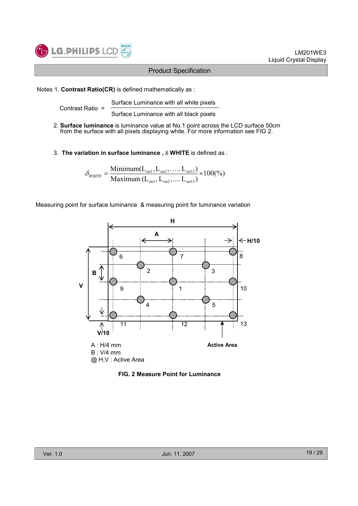

#### LM201WE3 Liquid Crystal Display

#### Product Specification

#### Notes 1. Contrast Ratio(CR) is defined mathematically as :

Surface Luminance with all white pixels Contrast Ratio =

Surface Luminance with all black pixels

- 2. Surface luminance is luminance value at No.1 point across the LCD surface 50cm from the surface with all pixels displaying white. For more information see FIG 2.
- 3. The variation in surface luminance,  $\delta$  WHITE is defined as :

$$
\delta_{\text{WHITE}} = \frac{\text{Minimum}(L_{on1}, L_{on2}, \dots, L_{on13})}{\text{Maximum}(L_{on1}, L_{on2}, \dots, L_{on13})} \times 100\,(%)
$$

Measuring point for surface luminance & measuring point for luminance variation



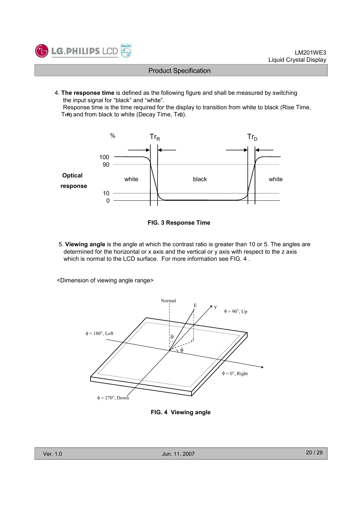

4. The response time is defined as the following figure and shall be measured by switching the input signal for "black" and "white".

Response time is the time required for the display to transition from white to black (Rise Time, TrR) and from black to white (Decay Time, TrD).





5. Viewing angle is the angle at which the contrast ratio is greater than 10 or 5. The angles are determined for the horizontal or x axis and the vertical or y axis with respect to the z axis which is normal to the LCD surface. For more information see FIG. 4 .

<Dimension of viewing angle range>



FIG. 4 Viewing angle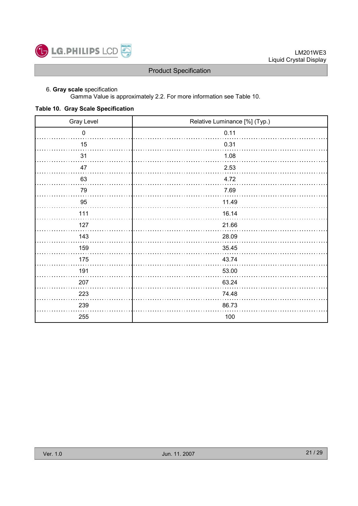

#### 6. Gray scale specification

Gamma Value is approximately 2.2. For more information see Table 10.

#### Table 10. Gray Scale Specification

| Gray Level | Relative Luminance [%] (Typ.) |
|------------|-------------------------------|
| $\pmb{0}$  | 0.11                          |
| 15         | 0.31                          |
| 31         | 1.08                          |
| 47         | 2.53                          |
| 63         | 4.72                          |
| 79         | 7.69                          |
| 95         | 11.49                         |
| 111        | 16.14                         |
| 127        | 21.66                         |
| 143        | 28.09                         |
| 159        | 35.45                         |
| 175        | 43.74                         |
| 191        | 53.00                         |
| 207        | 63.24                         |
| 223        | 74.48                         |
| 239        | 86.73                         |
| 255        | 100                           |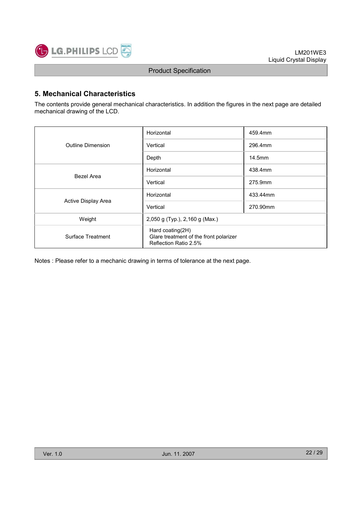

## 5. Mechanical Characteristics

The contents provide general mechanical characteristics. In addition the figures in the next page are detailed mechanical drawing of the LCD.

|                     | Horizontal                                                                          | 459.4mm  |  |  |
|---------------------|-------------------------------------------------------------------------------------|----------|--|--|
| Outline Dimension   | Vertical                                                                            | 296.4mm  |  |  |
|                     | Depth                                                                               | 14.5mm   |  |  |
|                     | Horizontal                                                                          | 438.4mm  |  |  |
| Bezel Area          | Vertical                                                                            | 275.9mm  |  |  |
|                     | Horizontal                                                                          | 433.44mm |  |  |
| Active Display Area | Vertical                                                                            | 270.90mm |  |  |
| Weight              | 2,050 g (Typ.), 2,160 g (Max.)                                                      |          |  |  |
| Surface Treatment   | Hard coating(2H)<br>Glare treatment of the front polarizer<br>Reflection Ratio 2.5% |          |  |  |

Notes : Please refer to a mechanic drawing in terms of tolerance at the next page.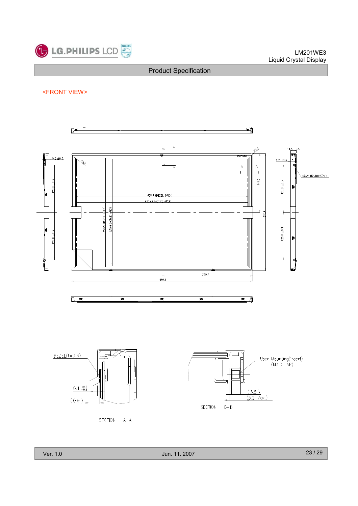

<FRONT VIEW>



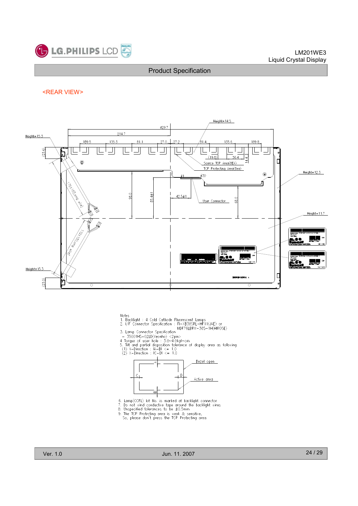

#### LM201WE3 Liquid Crystal Display

#### Product Specification

#### <REAR VIEW>



- Notes
- 
- Notes<br>1. Backlight : 4 Cold Cathode Fluorescent Lamps<br>2. I/F Connector Specification : FI-XB30SRL-HF11(JAE) or<br>3. Lamp Connector Specification MDF76LBRW-30S-1H(HIROSE)
- 
- 
- MDF76LBRW-30S-1H(HIROSE)<br>3. Lamp Connector Specification<br>- 35001HS-02LD(Yeonho) <20in><br>4 Torque of user hole : 3.0~4.0kgf-cm<br>5. Tilt and partial disposition tolerance of display area as following<br>(1) Y-Direction : IA-BI <=
- 



- 
- 6. Lamp(CCFL) lot No. is marked at backlight connector<br>7. Do not wind conductive tape around the backlight wires<br>8. Unspecified tolerances to be  $\pm 0.5$ mm<br>9. The TCP Protrcting area is weak & sensitive,<br>So, please don't
	-
	-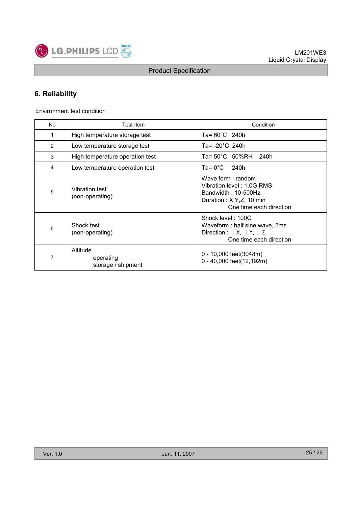

## 6. Reliability

Environment test condition

| No | Test Item                                   | Condition                                                                                                                        |
|----|---------------------------------------------|----------------------------------------------------------------------------------------------------------------------------------|
| 1  | High temperature storage test               | Ta= $60^{\circ}$ C 240h                                                                                                          |
| 2  | Low temperature storage test                | Ta= $-20^{\circ}$ C 240h                                                                                                         |
| 3  | High temperature operation test             | Ta= $50^{\circ}$ C $50\%$ RH<br>240h                                                                                             |
| 4  | Low temperature operation test              | Ta= $0^{\circ}$ C<br>240h                                                                                                        |
| 5  | <b>Vibration test</b><br>(non-operating)    | Wave form: random<br>Vibration level: 1.0G RMS<br>Bandwidth: 10-500Hz<br>Duration : $X, Y, Z, 10$ min<br>One time each direction |
| 6  | Shock test<br>(non-operating)               | Shock level: 100G<br>Waveform: half sine wave, 2ms<br>Direction : $\pm$ X, $\pm$ Y, $\pm$ Z<br>One time each direction           |
| 7  | Altitude<br>operating<br>storage / shipment | 0 - 10,000 feet(3048m)<br>0 - 40,000 feet(12,192m)                                                                               |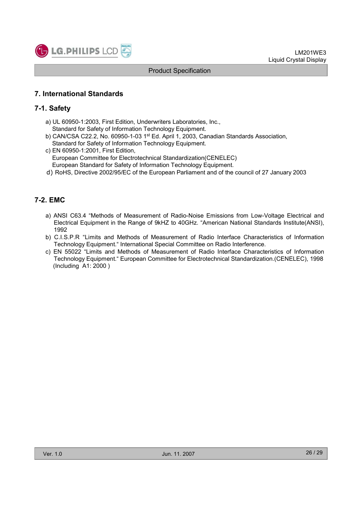

## 7. International Standards

## 7-1. Safety

- a) UL 60950-1:2003, First Edition, Underwriters Laboratories, Inc., Standard for Safety of Information Technology Equipment.
- b) CAN/CSA C22.2, No. 60950-1-03 1st Ed. April 1, 2003, Canadian Standards Association, Standard for Safety of Information Technology Equipment.
- c) EN 60950-1:2001, First Edition, European Committee for Electrotechnical Standardization(CENELEC) European Standard for Safety of Information Technology Equipment.
- d) RoHS, Directive 2002/95/EC of the European Parliament and of the council of 27 January 2003

## 7-2. EMC

- a) ANSI C63.4 "Methods of Measurement of Radio-Noise Emissions from Low-Voltage Electrical and Electrical Equipment in the Range of 9kHZ to 40GHz. "American National Standards Institute(ANSI), 1992
- b) C.I.S.P.R "Limits and Methods of Measurement of Radio Interface Characteristics of Information Technology Equipment." International Special Committee on Radio Interference.
- c) EN 55022 "Limits and Methods of Measurement of Radio Interface Characteristics of Information Technology Equipment." European Committee for Electrotechnical Standardization.(CENELEC), 1998 (Including A1: 2000 )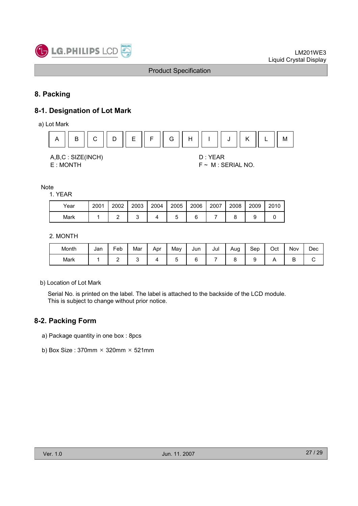

## 8. Packing

## 8-1. Designation of Lot Mark

a) Lot Mark



#### Note

1. YEAR

| Year | 2001 | 2002 | 2003 | 2004 | 2005 | 2006 | 2007 | 2008 | 2009 | 2010 |
|------|------|------|------|------|------|------|------|------|------|------|
| Mark |      |      |      |      |      |      |      |      |      |      |

#### 2. MONTH

| Month | Jan | Feb | Mar | Apr | Mav | Jun | Jul | Aug | Sep | Oct | Nov | Dec |
|-------|-----|-----|-----|-----|-----|-----|-----|-----|-----|-----|-----|-----|
| Mark  |     | -   |     |     |     |     |     |     |     |     | ◡   | ີ   |

b) Location of Lot Mark

Serial No. is printed on the label. The label is attached to the backside of the LCD module. This is subject to change without prior notice.

## 8-2. Packing Form

- a) Package quantity in one box : 8pcs
- b) Box Size : 370mm  $\times$  320mm  $\times$  521mm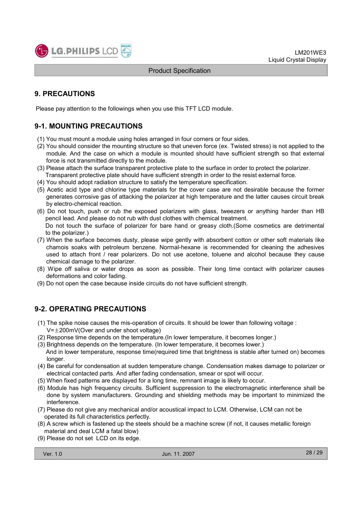

## 9. PRECAUTIONS

Please pay attention to the followings when you use this TFT LCD module.

## 9-1. MOUNTING PRECAUTIONS

- (1) You must mount a module using holes arranged in four corners or four sides.
- (2) You should consider the mounting structure so that uneven force (ex. Twisted stress) is not applied to the module. And the case on which a module is mounted should have sufficient strength so that external force is not transmitted directly to the module.
- (3) Please attach the surface transparent protective plate to the surface in order to protect the polarizer. Transparent protective plate should have sufficient strength in order to the resist external force.
- (4) You should adopt radiation structure to satisfy the temperature specification.
- (5) Acetic acid type and chlorine type materials for the cover case are not desirable because the former generates corrosive gas of attacking the polarizer at high temperature and the latter causes circuit break by electro-chemical reaction.
- (6) Do not touch, push or rub the exposed polarizers with glass, tweezers or anything harder than HB pencil lead. And please do not rub with dust clothes with chemical treatment. Do not touch the surface of polarizer for bare hand or greasy cloth.(Some cosmetics are detrimental to the polarizer.)
- (7) When the surface becomes dusty, please wipe gently with absorbent cotton or other soft materials like chamois soaks with petroleum benzene. Normal-hexane is recommended for cleaning the adhesives used to attach front / rear polarizers. Do not use acetone, toluene and alcohol because they cause chemical damage to the polarizer.
- (8) Wipe off saliva or water drops as soon as possible. Their long time contact with polarizer causes deformations and color fading.
- (9) Do not open the case because inside circuits do not have sufficient strength.

## 9-2. OPERATING PRECAUTIONS

- (1) The spike noise causes the mis-operation of circuits. It should be lower than following voltage :  $V=\pm 200$ mV(Over and under shoot voltage)
- (2) Response time depends on the temperature.(In lower temperature, it becomes longer.)
- (3) Brightness depends on the temperature. (In lower temperature, it becomes lower.) And in lower temperature, response time(required time that brightness is stable after turned on) becomes longer.
- (4) Be careful for condensation at sudden temperature change. Condensation makes damage to polarizer or electrical contacted parts. And after fading condensation, smear or spot will occur.
- (5) When fixed patterns are displayed for a long time, remnant image is likely to occur.
- (6) Module has high frequency circuits. Sufficient suppression to the electromagnetic interference shall be done by system manufacturers. Grounding and shielding methods may be important to minimized the interference.
- (7) Please do not give any mechanical and/or acoustical impact to LCM. Otherwise, LCM can not be operated its full characteristics perfectly.
- (8) A screw which is fastened up the steels should be a machine screw (if not, it causes metallic foreign material and deal LCM a fatal blow)
- (9) Please do not set LCD on its edge.